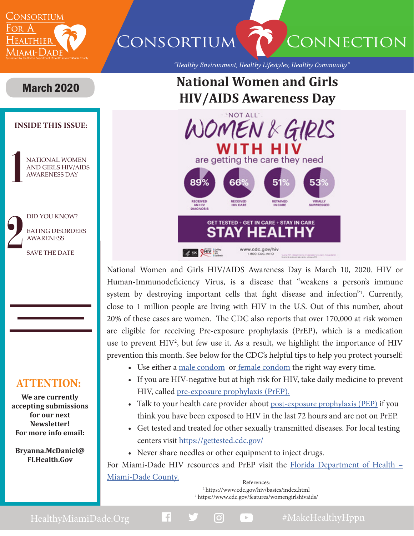

CONSORTIUM CONNECTION

*"Healthy Environment, Healthy Lifestyles, Healthy Community"*

## **National Women and Girls HIV/AIDS Awareness Day**

#### **INSIDE THIS ISSUE:**

March 2020

NATIONAL WOMEN AND GIRLS HIV/AIDS AWARENESS DAY

DID YOU KNOW? EATING DISORDERS AWARENESS

SAVE THE DATE

### **ATTENTION:**

**We are currently accepting submissions for our next Newsletter! For more info email:** 

**Bryanna.McDaniel@ FLHealth.Gov**



National Women and Girls HIV/AIDS Awareness Day is March 10, 2020. HIV or Human-Immunodeficiency Virus, is a disease that "weakens a person's immune system by destroying important cells that fight disease and infection"<sup>1</sup>. Currently, close to 1 million people are living with HIV in the U.S. Out of this number, about 20% of these cases are women. The CDC also reports that over 170,000 at risk women are eligible for receiving Pre-exposure prophylaxis (PrEP), which is a medication use to prevent  $HIV^2$ , but few use it. As a result, we highlight the importance of  $HIV$ prevention this month. See below for the CDC's helpful tips to help you protect yourself:

- Use either a [male condom](https://www.cdc.gov/condomeffectiveness/male-condom-use.html) o[r female condom](https://www.cdc.gov/condomeffectiveness/female-condom-use.html) the right way every time.
- If you are HIV-negative but at high risk for HIV, take daily medicine to prevent HIV, called [pre-exposure prophylaxis \(PrEP\).](https://www.cdc.gov/hiv/risk/prep/index.html)
- Talk to your health care provider about [post-exposure prophylaxis \(PEP\)](https://www.cdc.gov/hiv/basics/pep.html) if you think you have been exposed to HIV in the last 72 hours and are not on PrEP.
- Get tested and treated for other sexually transmitted diseases. For local testing centers visi[t https://gettested.cdc.gov/]( https://gettested.cdc.gov/)
- Never share needles or other equipment to inject drugs.

For Miami-Dade HIV resources and PrEP visit the [Florida Department of Health –](http://miamidade.floridahealth.gov/programs-and-services/infectious-disease-services/hiv-aids-services/counseling-testing-sites.html) [Miami-Dade County.](http://miamidade.floridahealth.gov/programs-and-services/infectious-disease-services/hiv-aids-services/counseling-testing-sites.html)

References:<br><sup>1</sup> https://www.cdc.gov/hiv/basics/index.html 2 https://www.cdc.gov/features/womengirlshivaids/

HealthyMiamiDade.Org **1 9 0 2** #MakeHealthyHppn